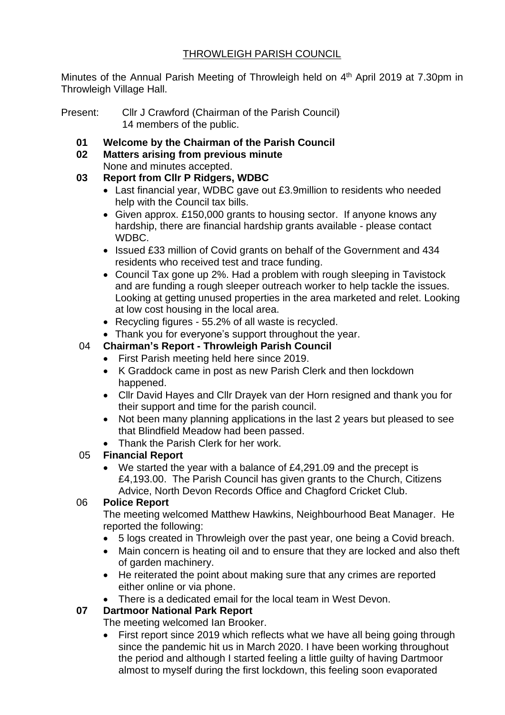# THROWLEIGH PARISH COUNCIL

Minutes of the Annual Parish Meeting of Throwleigh held on 4<sup>th</sup> April 2019 at 7.30pm in Throwleigh Village Hall.

- Present: Cllr J Crawford (Chairman of the Parish Council) 14 members of the public.
	- **01 Welcome by the Chairman of the Parish Council**
	- **02 Matters arising from previous minute** None and minutes accepted.

#### **03 Report from Cllr P Ridgers, WDBC**

- Last financial year, WDBC gave out £3.9million to residents who needed help with the Council tax bills.
- Given approx. £150,000 grants to housing sector. If anyone knows any hardship, there are financial hardship grants available - please contact WDBC.
- Issued £33 million of Covid grants on behalf of the Government and 434 residents who received test and trace funding.
- Council Tax gone up 2%. Had a problem with rough sleeping in Tavistock and are funding a rough sleeper outreach worker to help tackle the issues. Looking at getting unused properties in the area marketed and relet. Looking at low cost housing in the local area.
- Recycling figures 55.2% of all waste is recycled.
- Thank you for everyone's support throughout the year.

# 04 **Chairman's Report - Throwleigh Parish Council**

- First Parish meeting held here since 2019.
- K Graddock came in post as new Parish Clerk and then lockdown happened.
- Cllr David Hayes and Cllr Drayek van der Horn resigned and thank you for their support and time for the parish council.
- Not been many planning applications in the last 2 years but pleased to see that Blindfield Meadow had been passed.
- Thank the Parish Clerk for her work.

# 05 **Financial Report**

• We started the year with a balance of £4,291.09 and the precept is £4,193.00. The Parish Council has given grants to the Church, Citizens Advice, North Devon Records Office and Chagford Cricket Club.

#### 06 **Police Report**

The meeting welcomed Matthew Hawkins, Neighbourhood Beat Manager. He reported the following:

- 5 logs created in Throwleigh over the past year, one being a Covid breach.
- Main concern is heating oil and to ensure that they are locked and also theft of garden machinery.
- He reiterated the point about making sure that any crimes are reported either online or via phone.
- There is a dedicated email for the local team in West Devon.

# **07 Dartmoor National Park Report**

The meeting welcomed Ian Brooker.

• First report since 2019 which reflects what we have all being going through since the pandemic hit us in March 2020. I have been working throughout the period and although I started feeling a little guilty of having Dartmoor almost to myself during the first lockdown, this feeling soon evaporated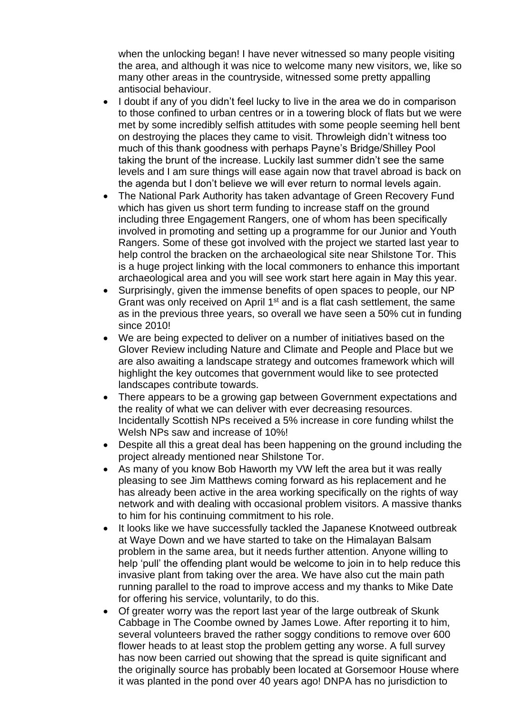when the unlocking began! I have never witnessed so many people visiting the area, and although it was nice to welcome many new visitors, we, like so many other areas in the countryside, witnessed some pretty appalling antisocial behaviour.

- I doubt if any of you didn't feel lucky to live in the area we do in comparison to those confined to urban centres or in a towering block of flats but we were met by some incredibly selfish attitudes with some people seeming hell bent on destroying the places they came to visit. Throwleigh didn't witness too much of this thank goodness with perhaps Payne's Bridge/Shilley Pool taking the brunt of the increase. Luckily last summer didn't see the same levels and I am sure things will ease again now that travel abroad is back on the agenda but I don't believe we will ever return to normal levels again.
- The National Park Authority has taken advantage of Green Recovery Fund which has given us short term funding to increase staff on the ground including three Engagement Rangers, one of whom has been specifically involved in promoting and setting up a programme for our Junior and Youth Rangers. Some of these got involved with the project we started last year to help control the bracken on the archaeological site near Shilstone Tor. This is a huge project linking with the local commoners to enhance this important archaeological area and you will see work start here again in May this year.
- Surprisingly, given the immense benefits of open spaces to people, our NP Grant was only received on April 1<sup>st</sup> and is a flat cash settlement, the same as in the previous three years, so overall we have seen a 50% cut in funding since 2010!
- We are being expected to deliver on a number of initiatives based on the Glover Review including Nature and Climate and People and Place but we are also awaiting a landscape strategy and outcomes framework which will highlight the key outcomes that government would like to see protected landscapes contribute towards.
- There appears to be a growing gap between Government expectations and the reality of what we can deliver with ever decreasing resources. Incidentally Scottish NPs received a 5% increase in core funding whilst the Welsh NPs saw and increase of 10%!
- Despite all this a great deal has been happening on the ground including the project already mentioned near Shilstone Tor.
- As many of you know Bob Haworth my VW left the area but it was really pleasing to see Jim Matthews coming forward as his replacement and he has already been active in the area working specifically on the rights of way network and with dealing with occasional problem visitors. A massive thanks to him for his continuing commitment to his role.
- It looks like we have successfully tackled the Japanese Knotweed outbreak at Waye Down and we have started to take on the Himalayan Balsam problem in the same area, but it needs further attention. Anyone willing to help 'pull' the offending plant would be welcome to join in to help reduce this invasive plant from taking over the area. We have also cut the main path running parallel to the road to improve access and my thanks to Mike Date for offering his service, voluntarily, to do this.
- Of greater worry was the report last year of the large outbreak of Skunk Cabbage in The Coombe owned by James Lowe. After reporting it to him, several volunteers braved the rather soggy conditions to remove over 600 flower heads to at least stop the problem getting any worse. A full survey has now been carried out showing that the spread is quite significant and the originally source has probably been located at Gorsemoor House where it was planted in the pond over 40 years ago! DNPA has no jurisdiction to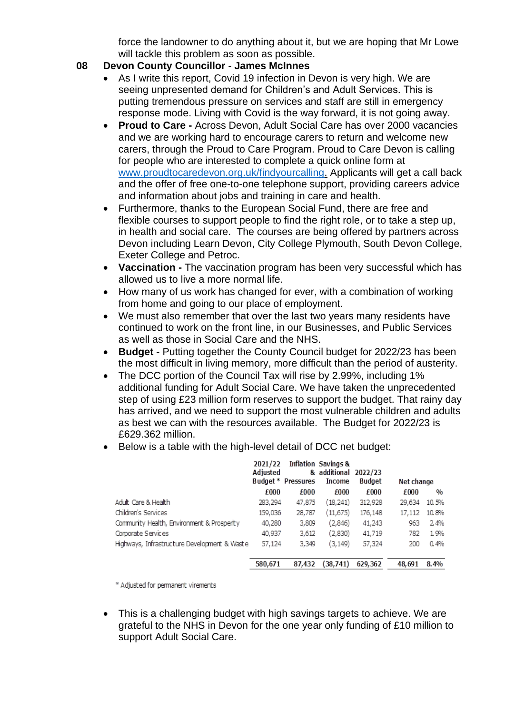force the landowner to do anything about it, but we are hoping that Mr Lowe will tackle this problem as soon as possible.

#### **08 Devon County Councillor - James McInnes**

- As I write this report, Covid 19 infection in Devon is very high. We are seeing unpresented demand for Children's and Adult Services. This is putting tremendous pressure on services and staff are still in emergency response mode. Living with Covid is the way forward, it is not going away.
- **Proud to Care -** Across Devon, Adult Social Care has over 2000 vacancies and we are working hard to encourage carers to return and welcome new carers, through the Proud to Care Program. Proud to Care Devon is calling for people who are interested to complete a quick online form a[t](http://www.proudtocaredevon.org.uk/) [www.proudtocaredevon.org.uk/findyourcalling.](http://www.proudtocaredevon.org.uk/) Applicants will get a call back and the offer of free one-to-one telephone support, providing careers advice and information about jobs and training in care and health.
- Furthermore, thanks to the European Social Fund, there are free and flexible courses to support people to find the right role, or to take a step up, in health and social care. The courses are being offered by partners across Devon including Learn Devon, City College Plymouth, South Devon College, Exeter College and Petroc.
- **Vaccination -** The vaccination program has been very successful which has allowed us to live a more normal life.
- How many of us work has changed for ever, with a combination of working from home and going to our place of employment.
- We must also remember that over the last two years many residents have continued to work on the front line, in our Businesses, and Public Services as well as those in Social Care and the NHS.
- **Budget -** Putting together the County Council budget for 2022/23 has been the most difficult in living memory, more difficult than the period of austerity.
- The DCC portion of the Council Tax will rise by 2.99%, including 1% additional funding for Adult Social Care. We have taken the unprecedented step of using £23 million form reserves to support the budget. That rainy day has arrived, and we need to support the most vulnerable children and adults as best we can with the resources available. The Budget for 2022/23 is £629.362 million.
- Below is a table with the high-level detail of DCC net budget:

|                                              | 2021/22<br>Adjusted | Budget * Pressures | Inflation Savings &<br>& additional 2022/23<br>Income | <b>Budget</b> | Net change |               |
|----------------------------------------------|---------------------|--------------------|-------------------------------------------------------|---------------|------------|---------------|
|                                              | £000                | £000               | £000                                                  | £000          | £000       | $\frac{0}{0}$ |
| Adult Care & Health                          | 283,294             | 47,875             | (18,241)                                              | 312,928       | 29,634     | 10.5%         |
| Children's Services                          | 159,036             | 28,787             | (11,675)                                              | 176,148       | 17,112     | 10.8%         |
| Community Health, Environment & Prosperity   | 40,280              | 3,809              | (2,846)                                               | 41,243        | 963        | 2.4%          |
| Corporate Services                           | 40,937              | 3,612              | (2,830)                                               | 41,719        | 782        | 1.9%          |
| Highways, Infrastructure Development & Waste | 57,124              | 3,349              | (3, 149)                                              | 57,324        | 200        | 0.4%          |
|                                              | 580,671             | 87.432             | (38, 741)                                             | 629.362       | 48.691     | 8.4%          |

\* Adjusted for permanent virements

• This is a challenging budget with high savings targets to achieve. We are grateful to the NHS in Devon for the one year only funding of £10 million to support Adult Social Care.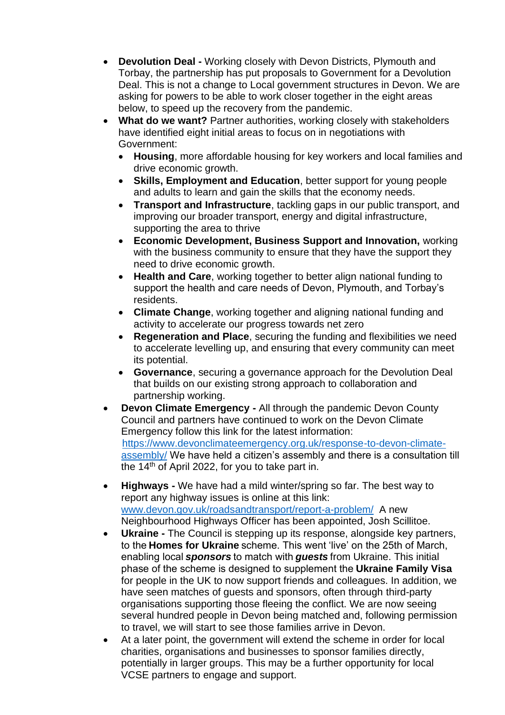- **Devolution Deal -** Working closely with Devon Districts, Plymouth and Torbay, the partnership has put proposals to Government for a Devolution Deal. This is not a change to Local government structures in Devon. We are asking for powers to be able to work closer together in the eight areas below, to speed up the recovery from the pandemic.
- **What do we want?** Partner authorities, working closely with stakeholders have identified eight initial areas to focus on in negotiations with Government:
	- **Housing**, more affordable housing for key workers and local families and drive economic growth.
	- **Skills, Employment and Education**, better support for young people and adults to learn and gain the skills that the economy needs.
	- **Transport and Infrastructure**, tackling gaps in our public transport, and improving our broader transport, energy and digital infrastructure, supporting the area to thrive
	- **Economic Development, Business Support and Innovation,** working with the business community to ensure that they have the support they need to drive economic growth.
	- **Health and Care**, working together to better align national funding to support the health and care needs of Devon, Plymouth, and Torbay's residents.
	- **Climate Change**, working together and aligning national funding and activity to accelerate our progress towards net zero
	- **Regeneration and Place**, securing the funding and flexibilities we need to accelerate levelling up, and ensuring that every community can meet its potential.
	- **Governance**, securing a governance approach for the Devolution Deal that builds on our existing strong approach to collaboration and partnership working.
- **Devon Climate Emergency -** All through the pandemic Devon County Council and partners have continued to work on the Devon Climate Emergency follow this link for the latest information: [https://www.devonclimateemergency.org.uk/response-to-devon-climate](https://www.devonclimateemergency.org.uk/response-to-devon-climate-assembly/)[assembly/](https://www.devonclimateemergency.org.uk/response-to-devon-climate-assembly/) We have held a citizen's assembly and there is a consultation till the 14<sup>th</sup> of April 2022, for you to take part in.
- **Highways -** We have had a mild winter/spring so far. The best way to report any highway issues is online at this link: [www.devon.gov.uk/roadsandtransport/report-a-problem/](http://www.devon.gov.uk/roadsandtransport/report-a-problem/) A new Neighbourhood Highways Officer has been appointed, Josh Scillitoe.
- **Ukraine** The Council is stepping up its response, alongside key partners, to the **Homes for Ukraine** scheme. This went 'live' on the 25th of March, enabling local *sponsors* to match with *guests* from Ukraine. This initial phase of the scheme is designed to supplement the **Ukraine Family Visa**  for people in the UK to now support friends and colleagues. In addition, we have seen matches of guests and sponsors, often through third-party organisations supporting those fleeing the conflict. We are now seeing several hundred people in Devon being matched and, following permission to travel, we will start to see those families arrive in Devon.
- At a later point, the government will extend the scheme in order for local charities, organisations and businesses to sponsor families directly, potentially in larger groups. This may be a further opportunity for local VCSE partners to engage and support.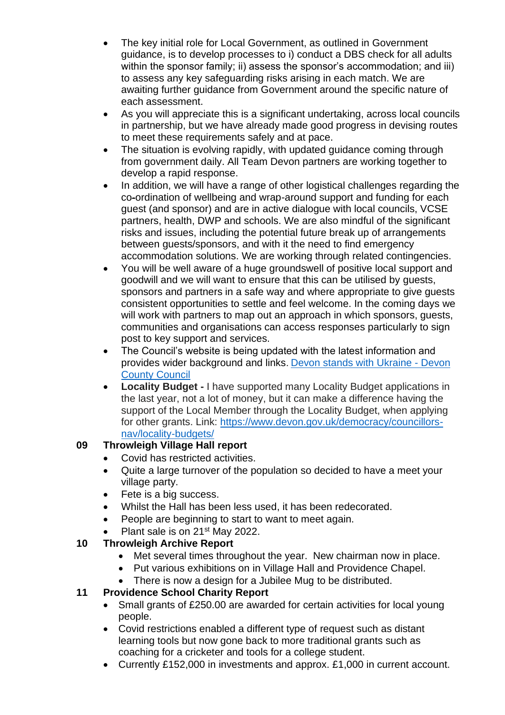- The key initial role for Local Government, as outlined in Government guidance, is to develop processes to i) conduct a DBS check for all adults within the sponsor family; ii) assess the sponsor's accommodation; and iii) to assess any key safeguarding risks arising in each match. We are awaiting further guidance from Government around the specific nature of each assessment.
- As you will appreciate this is a significant undertaking, across local councils in partnership, but we have already made good progress in devising routes to meet these requirements safely and at pace.
- The situation is evolving rapidly, with updated guidance coming through from government daily. All Team Devon partners are working together to develop a rapid response.
- In addition, we will have a range of other logistical challenges regarding the co-ordination of wellbeing and wrap-around support and funding for each guest (and sponsor) and are in active dialogue with local councils, VCSE partners, health, DWP and schools. We are also mindful of the significant risks and issues, including the potential future break up of arrangements between guests/sponsors, and with it the need to find emergency accommodation solutions. We are working through related contingencies.
- You will be well aware of a huge groundswell of positive local support and goodwill and we will want to ensure that this can be utilised by guests, sponsors and partners in a safe way and where appropriate to give guests consistent opportunities to settle and feel welcome. In the coming days we will work with partners to map out an approach in which sponsors, guests, communities and organisations can access responses particularly to sign post to key support and services.
- The Council's website is being updated with the latest information and provides wider background and links[. Devon stands with Ukraine -](https://eur02.safelinks.protection.outlook.com/?url=https%3A%2F%2Fwww.devon.gov.uk%2Fukraine%2F&data=04%7C01%7Cjames.mcinnes%40devon.gov.uk%7C52c6cf4d6081488b5d4208da0cbaab37%7C8da13783cb68443fbb4b997f77fd5bfb%7C0%7C0%7C637836293131990039%7CUnknown%7CTWFpbGZsb3d8eyJWIjoiMC4wLjAwMDAiLCJQIjoiV2luMzIiLCJBTiI6Ik1haWwiLCJXVCI6Mn0%3D%7C3000&sdata=glF0jIQ3oIBnS0OPw%2Bbult7ZJOJkKGUoUbBxgrbUn7U%3D&reserved=0) Devon [County Council](https://eur02.safelinks.protection.outlook.com/?url=https%3A%2F%2Fwww.devon.gov.uk%2Fukraine%2F&data=04%7C01%7Cjames.mcinnes%40devon.gov.uk%7C52c6cf4d6081488b5d4208da0cbaab37%7C8da13783cb68443fbb4b997f77fd5bfb%7C0%7C0%7C637836293131990039%7CUnknown%7CTWFpbGZsb3d8eyJWIjoiMC4wLjAwMDAiLCJQIjoiV2luMzIiLCJBTiI6Ik1haWwiLCJXVCI6Mn0%3D%7C3000&sdata=glF0jIQ3oIBnS0OPw%2Bbult7ZJOJkKGUoUbBxgrbUn7U%3D&reserved=0)
- **Locality Budget -** I have supported many Locality Budget applications in the last year, not a lot of money, but it can make a difference having the support of the Local Member through the Locality Budget, when applying for other grants. Link: [https://www.devon.gov.uk/democracy/councillors](https://www.devon.gov.uk/democracy/councillors-nav/locality-budgets/)[nav/locality-budgets/](https://www.devon.gov.uk/democracy/councillors-nav/locality-budgets/)

# **09 Throwleigh Village Hall report**

- Covid has restricted activities.
- Quite a large turnover of the population so decided to have a meet your village party.
- Fete is a big success.
- Whilst the Hall has been less used, it has been redecorated.
- People are beginning to start to want to meet again.
- Plant sale is on 21<sup>st</sup> May 2022.

# **10 Throwleigh Archive Report**

- Met several times throughout the year. New chairman now in place.
- Put various exhibitions on in Village Hall and Providence Chapel.
- There is now a design for a Jubilee Mug to be distributed.

# **11 Providence School Charity Report**

- Small grants of £250.00 are awarded for certain activities for local young people.
- Covid restrictions enabled a different type of request such as distant learning tools but now gone back to more traditional grants such as coaching for a cricketer and tools for a college student.
- Currently £152,000 in investments and approx. £1,000 in current account.